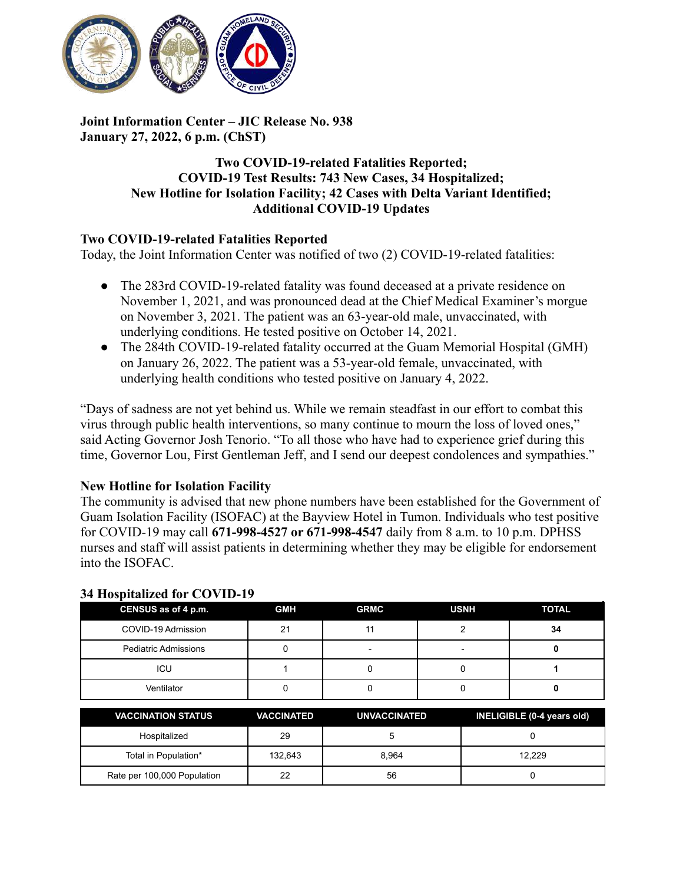

## **Joint Information Center – JIC Release No. 938 January 27, 2022, 6 p.m. (ChST)**

## **Two COVID-19-related Fatalities Reported; COVID-19 Test Results: 743 New Cases, 34 Hospitalized; New Hotline for Isolation Facility; 42 Cases with Delta Variant Identified; Additional COVID-19 Updates**

## **Two COVID-19-related Fatalities Reported**

Today, the Joint Information Center was notified of two (2) COVID-19-related fatalities:

- The 283rd COVID-19-related fatality was found deceased at a private residence on November 1, 2021, and was pronounced dead at the Chief Medical Examiner's morgue on November 3, 2021. The patient was an 63-year-old male, unvaccinated, with underlying conditions. He tested positive on October 14, 2021.
- The 284th COVID-19-related fatality occurred at the Guam Memorial Hospital (GMH) on January 26, 2022. The patient was a 53-year-old female, unvaccinated, with underlying health conditions who tested positive on January 4, 2022.

"Days of sadness are not yet behind us. While we remain steadfast in our effort to combat this virus through public health interventions, so many continue to mourn the loss of loved ones," said Acting Governor Josh Tenorio. "To all those who have had to experience grief during this time, Governor Lou, First Gentleman Jeff, and I send our deepest condolences and sympathies."

## **New Hotline for Isolation Facility**

The community is advised that new phone numbers have been established for the Government of Guam Isolation Facility (ISOFAC) at the Bayview Hotel in Tumon. Individuals who test positive for COVID-19 may call **671-998-4527 or 671-998-4547** daily from 8 a.m. to 10 p.m. DPHSS nurses and staff will assist patients in determining whether they may be eligible for endorsement into the ISOFAC.

| CENSUS as of 4 p.m.         | <b>GMH</b> | <b>GRMC</b> | <b>USNH</b> | <b>TOTAL</b> |
|-----------------------------|------------|-------------|-------------|--------------|
| COVID-19 Admission          | 21         |             |             | 34           |
| <b>Pediatric Admissions</b> |            | -           |             |              |
| ICU                         |            |             |             |              |
| Ventilator                  |            |             |             |              |

## **34 Hospitalized for COVID-19**

| <b>VACCINATION STATUS</b>   | <b>VACCINATED</b> | <b>UNVACCINATED</b> | INELIGIBLE (0-4 years old) |
|-----------------------------|-------------------|---------------------|----------------------------|
| Hospitalized                | 29                |                     |                            |
| Total in Population*        | 132.643           | 8.964               | 12.229                     |
| Rate per 100,000 Population | 22                | 56                  |                            |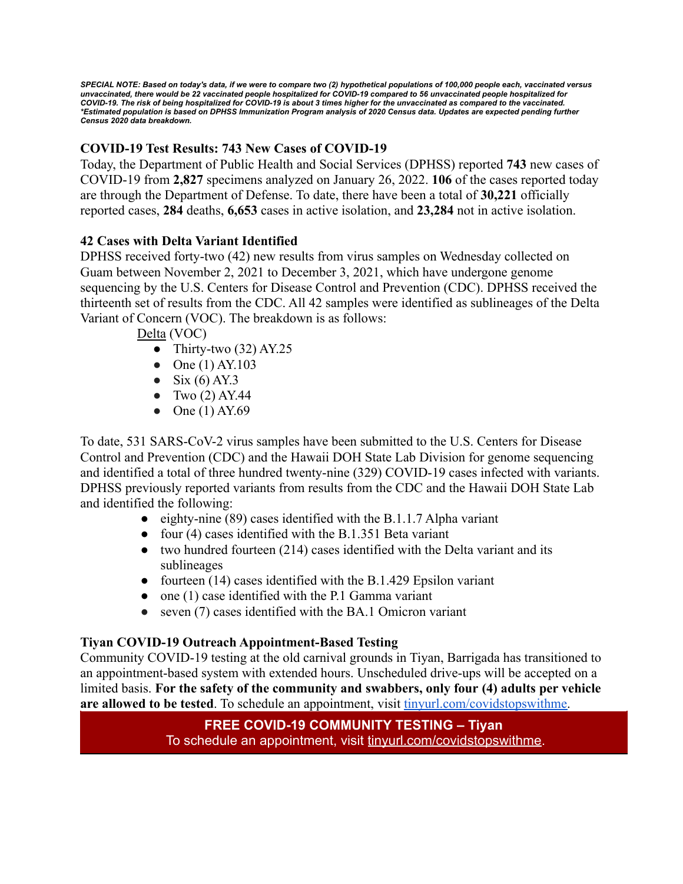SPECIAL NOTE: Based on today's data, if we were to compare two (2) hypothetical populations of 100,000 people each, vaccinated versus unvaccinated, there would be 22 vaccinated people hospitalized for COVID-19 compared to 56 unvaccinated people hospitalized for COVID-19. The risk of being hospitalized for COVID-19 is about 3 times higher for the unvaccinated as compared to the vaccinated. \*Estimated population is based on DPHSS Immunization Program analysis of 2020 Census data. Updates are expected pending further *Census 2020 data breakdown.*

# **COVID-19 Test Results: 743 New Cases of COVID-19**

Today, the Department of Public Health and Social Services (DPHSS) reported **743** new cases of COVID-19 from **2,827** specimens analyzed on January 26, 2022. **106** of the cases reported today are through the Department of Defense. To date, there have been a total of **30,221** officially reported cases, **284** deaths, **6,653** cases in active isolation, and **23,284** not in active isolation.

## **42 Cases with Delta Variant Identified**

DPHSS received forty-two (42) new results from virus samples on Wednesday collected on Guam between November 2, 2021 to December 3, 2021, which have undergone genome sequencing by the U.S. Centers for Disease Control and Prevention (CDC). DPHSS received the thirteenth set of results from the CDC. All 42 samples were identified as sublineages of the Delta Variant of Concern (VOC). The breakdown is as follows:

Delta (VOC)

- Thirty-two  $(32)$  AY.25
- One  $(1)$  AY.103
- $\bullet$  Six (6) AY.3
- Two  $(2)$  AY.44
- $\bullet$  One (1) AY.69

To date, 531 SARS-CoV-2 virus samples have been submitted to the U.S. Centers for Disease Control and Prevention (CDC) and the Hawaii DOH State Lab Division for genome sequencing and identified a total of three hundred twenty-nine (329) COVID-19 cases infected with variants. DPHSS previously reported variants from results from the CDC and the Hawaii DOH State Lab and identified the following:

- eighty-nine  $(89)$  cases identified with the B.1.1.7 Alpha variant
- four (4) cases identified with the B.1.351 Beta variant
- two hundred fourteen (214) cases identified with the Delta variant and its sublineages
- fourteen  $(14)$  cases identified with the B.1.429 Epsilon variant
- $\bullet$  one (1) case identified with the P.1 Gamma variant
- seven (7) cases identified with the BA.1 Omicron variant

## **Tiyan COVID-19 Outreach Appointment-Based Testing**

Community COVID-19 testing at the old carnival grounds in Tiyan, Barrigada has transitioned to an appointment-based system with extended hours. Unscheduled drive-ups will be accepted on a limited basis. **For the safety of the community and swabbers, only four (4) adults per vehicle are allowed to be tested**. To schedule an appointment, visit [tinyurl.com/covidstopswithme.](http://tinyurl.com/covidstopswithme)

## **FREE COVID-19 COMMUNITY TESTING – Tiyan** To schedule an appointment, visit [tinyurl.com/covidstopswithme.](http://tinyurl.com/covidstopswithme)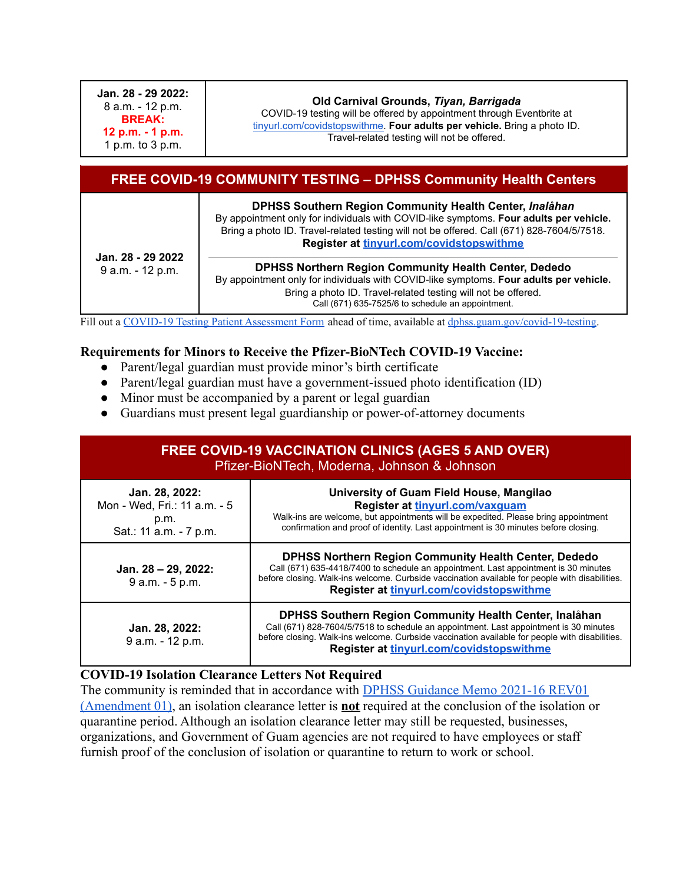**Jan. 28 - 29 2022:** 8 a.m. - 12 p.m. **BREAK: 12 p.m. - 1 p.m.** 1 p.m. to 3 p.m.

#### **Old Carnival Grounds,** *Tiyan, Barrigada*

COVID-19 testing will be offered by appointment through Eventbrite at [tinyurl.com/covidstopswithme.](http://tinyurl.com/covidstopswithme) **Four adults per vehicle.** Bring a photo ID. Travel-related testing will not be offered.

| <b>FREE COVID-19 COMMUNITY TESTING - DPHSS Community Health Centers</b> |                                                                                                                                                                                                                                                                                            |  |  |
|-------------------------------------------------------------------------|--------------------------------------------------------------------------------------------------------------------------------------------------------------------------------------------------------------------------------------------------------------------------------------------|--|--|
| Jan. 28 - 29 2022<br>9 a.m. - 12 p.m.                                   | DPHSS Southern Region Community Health Center, Inalåhan<br>By appointment only for individuals with COVID-like symptoms. Four adults per vehicle.<br>Bring a photo ID. Travel-related testing will not be offered. Call (671) 828-7604/5/7518.<br>Register at tinyurl.com/covidstopswithme |  |  |
|                                                                         | <b>DPHSS Northern Region Community Health Center, Dededo</b><br>By appointment only for individuals with COVID-like symptoms. Four adults per vehicle.<br>Bring a photo ID. Travel-related testing will not be offered.<br>Call (671) 635-7525/6 to schedule an appointment.               |  |  |

Fill out a COVID-19 Testing Patient [Assessment](https://dphss.guam.gov/wp-content/uploads/2021/09/DPHSS-TIYAN-Covid-PUI-Lab-Form-RLG.pdf) Form ahead of time, available at [dphss.guam.gov/covid-19-testing.](https://dphss.guam.gov/covid-19-testing/)

#### **Requirements for Minors to Receive the Pfizer-BioNTech COVID-19 Vaccine:**

- Parent/legal guardian must provide minor's birth certificate
- Parent/legal guardian must have a government-issued photo identification (ID)
- Minor must be accompanied by a parent or legal guardian
- Guardians must present legal guardianship or power-of-attorney documents

## **FREE COVID-19 VACCINATION CLINICS (AGES 5 AND OVER)** Pfizer-BioNTech, Moderna, Johnson & Johnson

| Jan. 28, 2022:<br>Mon - Wed, Fri.: 11 a.m. - 5<br>p.m.<br>Sat.: 11 a.m. - 7 p.m. | University of Guam Field House, Mangilao<br>Register at tinyurl.com/vaxguam<br>Walk-ins are welcome, but appointments will be expedited. Please bring appointment<br>confirmation and proof of identity. Last appointment is 30 minutes before closing.                                           |
|----------------------------------------------------------------------------------|---------------------------------------------------------------------------------------------------------------------------------------------------------------------------------------------------------------------------------------------------------------------------------------------------|
| Jan. 28 - 29, 2022:<br>9 a.m. - 5 p.m.                                           | <b>DPHSS Northern Region Community Health Center, Dededo</b><br>Call (671) 635-4418/7400 to schedule an appointment. Last appointment is 30 minutes<br>before closing. Walk-ins welcome. Curbside vaccination available for people with disabilities.<br>Register at tinyurl.com/covidstopswithme |
| Jan. 28, 2022:<br>9 a.m. - 12 p.m.                                               | DPHSS Southern Region Community Health Center, Inalåhan<br>Call (671) 828-7604/5/7518 to schedule an appointment. Last appointment is 30 minutes<br>before closing. Walk-ins welcome. Curbside vaccination available for people with disabilities.<br>Register at tinyurl.com/covidstopswithme    |

#### **COVID-19 Isolation Clearance Letters Not Required**

The community is reminded that in accordance with [DPHSS Guidance Memo 2021-16 REV01](https://dphss.guam.gov/wp-content/uploads/2022/01/DPHSS-GUIDANCE-MEMO-2021-16-REV01-Amendment-01-01-18-2022.pdf) [\(Amendment 01\)](https://dphss.guam.gov/wp-content/uploads/2022/01/DPHSS-GUIDANCE-MEMO-2021-16-REV01-Amendment-01-01-18-2022.pdf), an isolation clearance letter is **not** required at the conclusion of the isolation or quarantine period. Although an isolation clearance letter may still be requested, businesses, organizations, and Government of Guam agencies are not required to have employees or staff furnish proof of the conclusion of isolation or quarantine to return to work or school.